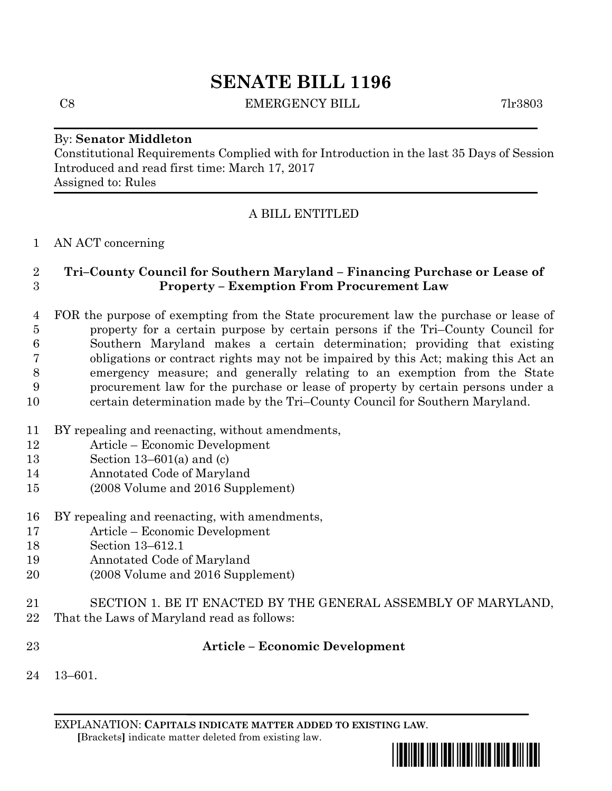# **SENATE BILL 1196**

C8 EMERGENCY BILL 7lr3803

### By: **Senator Middleton**

Constitutional Requirements Complied with for Introduction in the last 35 Days of Session Introduced and read first time: March 17, 2017 Assigned to: Rules

# A BILL ENTITLED

### AN ACT concerning

# **Tri–County Council for Southern Maryland – Financing Purchase or Lease of Property – Exemption From Procurement Law**

- FOR the purpose of exempting from the State procurement law the purchase or lease of property for a certain purpose by certain persons if the Tri–County Council for Southern Maryland makes a certain determination; providing that existing obligations or contract rights may not be impaired by this Act; making this Act an emergency measure; and generally relating to an exemption from the State procurement law for the purchase or lease of property by certain persons under a certain determination made by the Tri–County Council for Southern Maryland.
- BY repealing and reenacting, without amendments,
- Article Economic Development
- Section 13–601(a) and (c)
- Annotated Code of Maryland
- (2008 Volume and 2016 Supplement)
- BY repealing and reenacting, with amendments,
- Article Economic Development
- Section 13–612.1
- Annotated Code of Maryland
- (2008 Volume and 2016 Supplement)
- SECTION 1. BE IT ENACTED BY THE GENERAL ASSEMBLY OF MARYLAND,
- That the Laws of Maryland read as follows:
- 

## **Article – Economic Development**

13–601.

EXPLANATION: **CAPITALS INDICATE MATTER ADDED TO EXISTING LAW**.  **[**Brackets**]** indicate matter deleted from existing law.

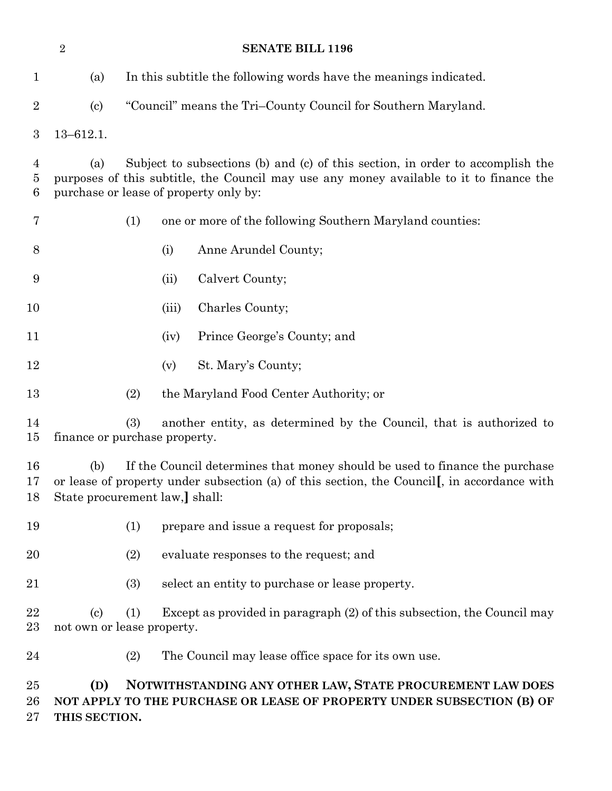|                    | $\overline{2}$            | <b>SENATE BILL 1196</b>                                                                                                                                                                                             |
|--------------------|---------------------------|---------------------------------------------------------------------------------------------------------------------------------------------------------------------------------------------------------------------|
| $\mathbf{1}$       | (a)                       | In this subtitle the following words have the meanings indicated.                                                                                                                                                   |
| $\overline{2}$     | $\left( \text{c} \right)$ | "Council" means the Tri-County Council for Southern Maryland.                                                                                                                                                       |
| $\boldsymbol{3}$   | $13 - 612.1.$             |                                                                                                                                                                                                                     |
| 4<br>5<br>6        | (a)                       | Subject to subsections (b) and (c) of this section, in order to accomplish the<br>purposes of this subtitle, the Council may use any money available to it to finance the<br>purchase or lease of property only by: |
| 7                  |                           | (1)<br>one or more of the following Southern Maryland counties:                                                                                                                                                     |
| 8                  |                           | Anne Arundel County;<br>(i)                                                                                                                                                                                         |
| 9                  |                           | Calvert County;<br>(ii)                                                                                                                                                                                             |
| 10                 |                           | Charles County;<br>(iii)                                                                                                                                                                                            |
| 11                 |                           | Prince George's County; and<br>(iv)                                                                                                                                                                                 |
| 12                 |                           | St. Mary's County;<br>(v)                                                                                                                                                                                           |
| 13                 |                           | (2)<br>the Maryland Food Center Authority; or                                                                                                                                                                       |
| 14<br>15           |                           | (3)<br>another entity, as determined by the Council, that is authorized to<br>finance or purchase property.                                                                                                         |
| 16<br>17<br>18     | (b)                       | If the Council determines that money should be used to finance the purchase<br>or lease of property under subsection (a) of this section, the Council, in accordance with<br>State procurement law,] shall:         |
| 19                 |                           | (1)<br>prepare and issue a request for proposals;                                                                                                                                                                   |
| <b>20</b>          |                           | evaluate responses to the request; and<br>(2)                                                                                                                                                                       |
| 21                 |                           | (3)<br>select an entity to purchase or lease property.                                                                                                                                                              |
| 22<br>23           | $\left( \text{c}\right)$  | Except as provided in paragraph (2) of this subsection, the Council may<br>(1)<br>not own or lease property.                                                                                                        |
| 24                 |                           | (2)<br>The Council may lease office space for its own use.                                                                                                                                                          |
| 25<br>26<br>$27\,$ | (D)<br>THIS SECTION.      | NOTWITHSTANDING ANY OTHER LAW, STATE PROCUREMENT LAW DOES<br>NOT APPLY TO THE PURCHASE OR LEASE OF PROPERTY UNDER SUBSECTION (B) OF                                                                                 |